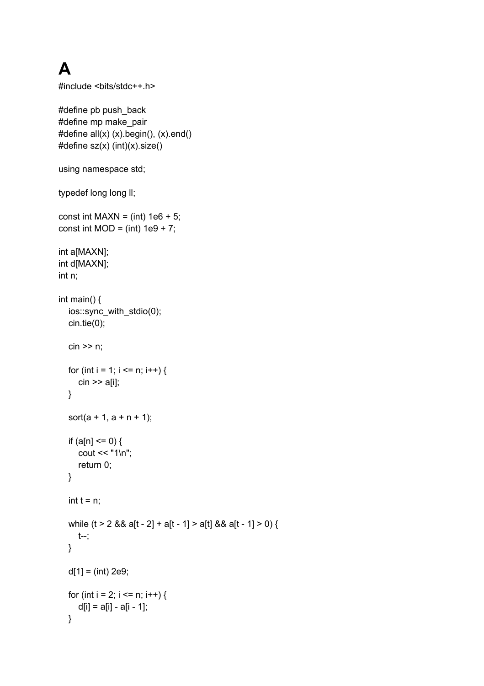## **A**

```
#include <bits/stdc++.h>
#define pb push_back
#define mp make_pair
#define all(x) (x).begin(), (x).end()
#define sz(x) (int)(x).size()
using namespace std;
typedef long long II;
const int MAXN = (int) 1e6 + 5;
const int MOD = (int) 1e9 + 7;
int a[MAXN];
int d[MAXN];
int n;
int main() {
  ios::sync_with_stdio(0);
  cin.tie(0);
  \operatorname{cin} \geq \operatorname{n};
  for (int i = 1; i <= n; i++) {
     \operatorname{cin} \geq \operatorname{a[i]};
  }
  sort(a + 1, a + n + 1);if (a[n] \le 0) {
     cout << "1\n";
     return 0;
  }
  int t = n;
  while (t > 2 && a[t - 2] + a[t - 1] > a[t] && a[t - 1] > 0) {
     t--;
  }
  d[1] = (int) 2e9;for (int i = 2; i <= n; i++) {
     d[i] = a[i] - a[i - 1];
  }
```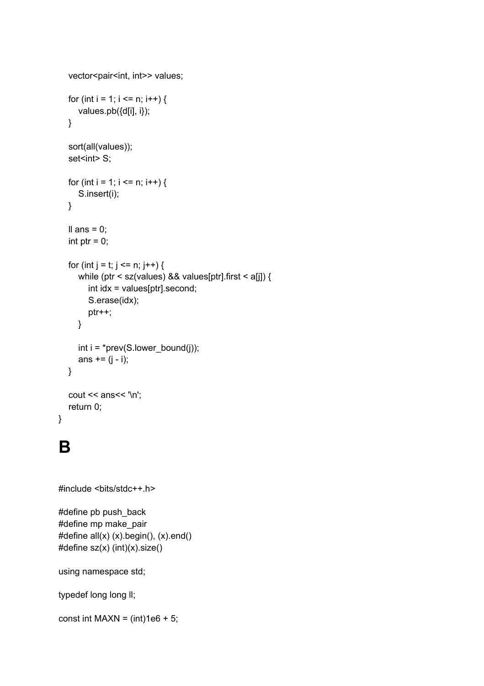```
vector<pair<int, int>> values;
for (int i = 1; i <= n; i++) {
  values.pb({d[i], i});
}
sort(all(values));
set<int> S;
for (int i = 1; i <= n; i++) {
  S.insert(i);
}
Il ans = 0;
int ptr = 0;
for (int j = t; j <= n; j++) {
  while (ptr < sz(values) && values[ptr].first < a[j]) {
     int idx = values[ptr].second;
     S.erase(idx);
     ptr++;
  }
  int i = *prev(S.lowerbound(i));ans += (j - i);}
cout << ans<< '\n';
return 0;
```
## **B**

}

```
#include <bits/stdc++.h>
```
#define pb push\_back #define mp make\_pair #define all(x) (x).begin(), (x).end() #define sz(x) (int)(x).size()

using namespace std;

```
typedef long long II;
```
const int MAXN =  $(int)1e6 + 5;$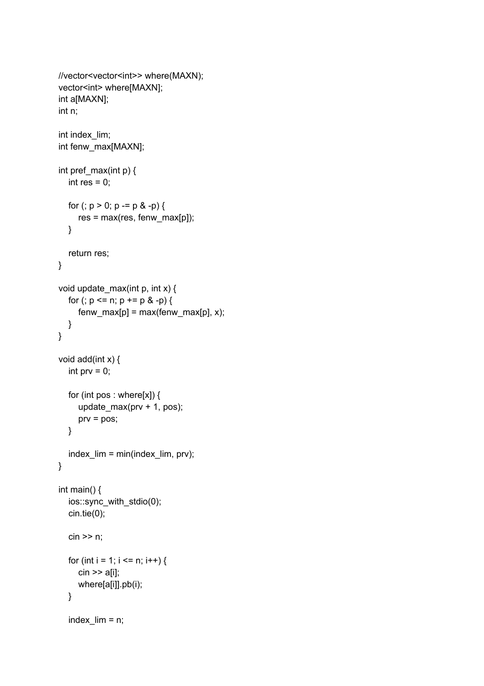```
//vector<vector<int>> where(MAXN);
vector<int> where[MAXN];
int a[MAXN];
int n;
int index_lim;
int fenw_max[MAXN];
int pref max(int p) {
  int res = 0;
  for (; p > 0; p == p & -p) {
     res = max(res, fenw_max[p]);
  }
  return res;
}
void update_max(int p, int x) {
  for (; p \le n; p += p \& -p) {
     fenv_max[p] = max(fenv_max[p], x);}
}
void add(int x) {
  int prv = 0;
  for (int pos : where[x]) {
     update_max(prv + 1, pos);
     prv = pos;
  }
  index_lim = min(index_lim, prv);
}
int main() {
  ios::sync_with_stdio(0);
  cin.tie(0);
  cin >> n;
  for (int i = 1; i <= n; i++) {
     cin >> a[i];
     where[a[i]].pb(i);
  }
  index lim = n;
```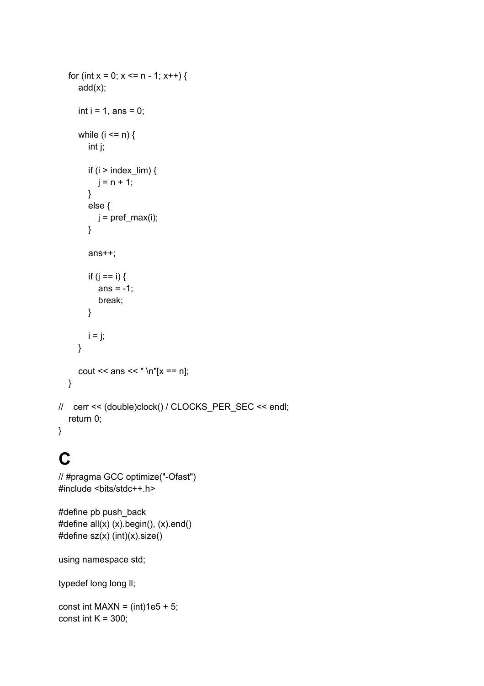```
for (int x = 0; x \le n - 1; x^{++}) {
     add(x);
     int i = 1, ans = 0;while (i \le n) {
        int j;
        if (i > index \lim) {
          j = n + 1;}
        else {
          j = prefix\_max(i);}
        ans++;
        if (j == i) {
          ans = -1;
          break;
       }
       i = j;
     }
     cout << ans << " \n"[x == n];
  }
// cerr << (double)clock() / CLOCKS_PER_SEC << endl;
  return 0;
}
```
## **C**

```
// #pragma GCC optimize("-Ofast")
#include <bits/stdc++.h>
```

```
#define pb push_back
#define all(x) (x).begin(), (x).end()
#define sz(x) (int)(x).size()
```
using namespace std;

typedef long long II;

const int MAXN =  $(int)1e5 + 5;$ const int  $K = 300$ ;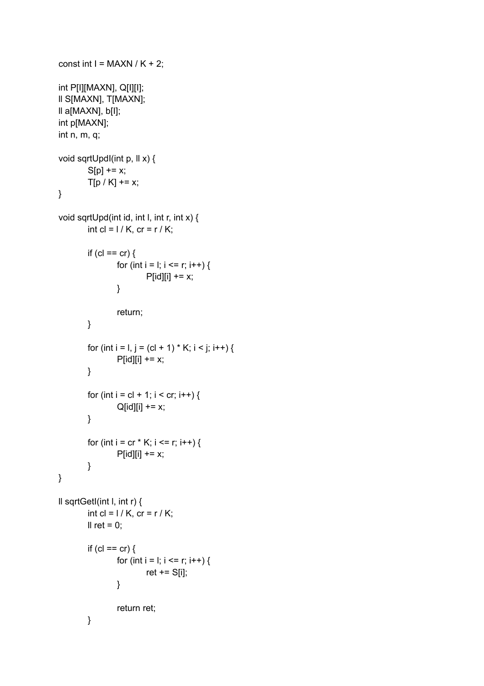```
const int I = MAXN / K + 2;
int P[I][MAXN], Q[I][I];
ll S[MAXN], T[MAXN];
ll a[MAXN], b[I];
int p[MAXN];
int n, m, q;
void sqrtUpdI(int p, ll x) {
        S[p] += x;T[p / K] += x;
}
void sqrtUpd(int id, int l, int r, int x) {
        int cl = 1/K, cr = r / K;
        if (cl == cr) {
                 for (int i = l; i <= r; i++) {
                         P[id][i] += x;}
                 return;
        }
        for (int i = l, j = (cl + 1) * K; i < j; i++) {
                 P[id][i] += x;}
        for (int i = cl + 1; i < cr; i++) {
                 Q[id][i] += x;}
        for (int i = cr * K; i <= r; i++) {
                 P[id][i] += x;}
}
ll sqrtGetI(int l, int r) {
        int cl = 1 / K, cr = r / K;
        Il ret = 0;
        if (cl == cr) {
                 for (int i = l; i <= r; i++) {
                         ret += S[i];
                 }
                 return ret;
        }
```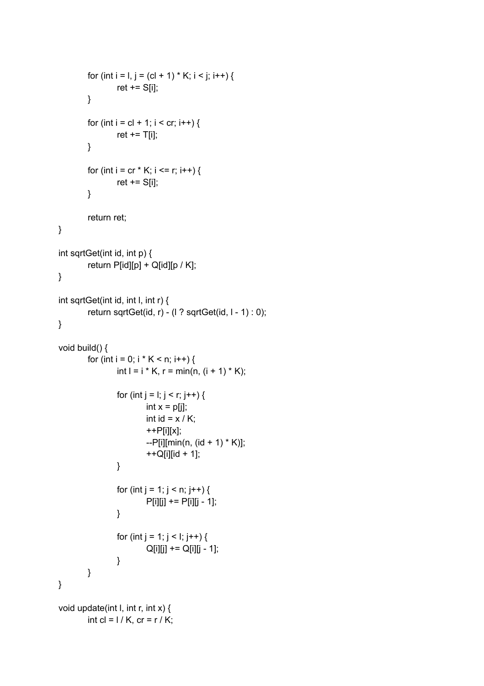```
for (int i = l, j = (cl + 1) * K; i < j; i++) {
                  ret += S[i];
         }
         for (int i = cl + 1; i < cr; i++) {
                  ret += T[i];
         }
         for (int i = cr * K; i <= r; i++) {
                  ret += S[i];
         }
         return ret;
}
int sqrtGet(int id, int p) {
         return P[id][p] + Q[id][p / K];
}
int sqrtGet(int id, int l, int r) {
         return sqrtGet(id, r) - (l ? sqrtGet(id, l - 1) : 0);
}
void build() {
         for (int i = 0; i * K < n; i++) {
                  int I = i * K, r = min(n, (i + 1) * K);
                  for (int j = l; j < r; j++) {
                          int x = p[j];
                          int id = x / K;
                          ++P[i][x];
                          -P[i][min(n, (id + 1) * K)];
                          ++Q[i][id + 1];
                  }
                  for (int j = 1; j < n; j++) {
                          P[i][j] += P[i][j - 1];
                  }
                  for (int j = 1; j < l; j++) {
                          Q[i][j] += Q[i][j - 1];
                  }
         }
}
void update(int I, int r, int x) {
         int cl = 1 / K, cr = r / K;
```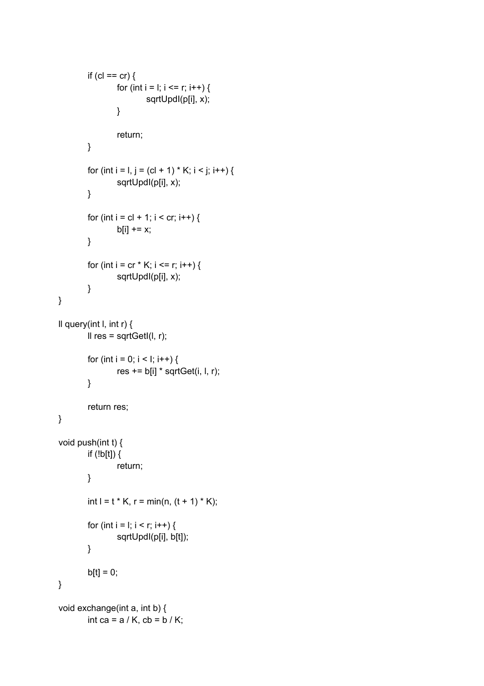```
if (cl == cr) {
                 for (int i = i; i <= r; i++) {
                          sqrtUpdI(p[i], x);
                 }
                 return;
        }
        for (int i = l, j = (cl + 1) * K; i < j; i++) {
                 sqrtUpdI(p[i], x);
        }
        for (int i = cl + 1; i < cr; i++) {
                 b[i] += x;
        }
        for (int i = cr * K; i <= r; i++) {
                 sqrtUpdI(p[i], x);
        }
}
ll query(int l, int r) {
        Il res = sqrtGetI(I, r);
        for (int i = 0; i < l; i++) {
                 res += b[i] * sqrtGet(i, l, r);
        }
         return res;
}
void push(int t) {
        if (!b[t]) {
                 return;
        }
        int l = t * K, r = min(n, (t + 1) * K);
        for (int i = i; i < r; i++) {
                 sqrtUpdI(p[i], b[t]);
        }
        b[t] = 0;}
void exchange(int a, int b) {
         int ca = a / K, cb = b / K;
```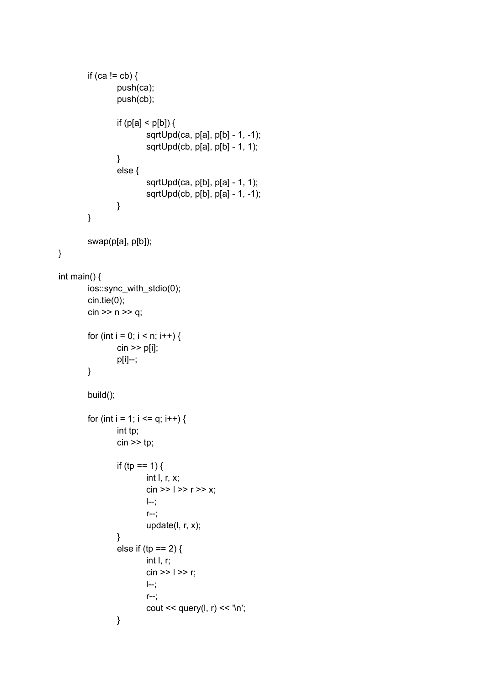```
if (ca != cb) {
                 push(ca);
                 push(cb);
                 if (p[a] < p[b]) {
                          sqrtUpd(ca, p[a], p[b] - 1, -1);
                          sqrtUpd(cb, p[a], p[b] - 1, 1);
                 }
                 else {
                          sqrtUpd(ca, p[b], p[a] - 1, 1);
                          sqrtUpd(cb, p[b], p[a] - 1, -1);
                 }
        }
        swap(p[a], p[b]);
int main() {
        ios::sync_with_stdio(0);
        cin.tie(0);
        cin >> n >> q;
        for (int i = 0; i < n; i++) {
                 cin >> p[i];
                 p[i]--;
        }
        build();
        for (int i = 1; i <= q; i++) {
                 int tp;
                 \sin \geqslant \text{tp};if (tp == 1) {
                          int l, r, x;
                          \sin >> 1 >> r >> x;l--;
                          r--;
                          update(l, r, x);
                 }
                 else if (tp == 2) {
                          int l, r;
                          \sin >> 1 >> r;
                         l--;
                          r--;
                          cout << query(l, r) << '\n';
                 }
```
}